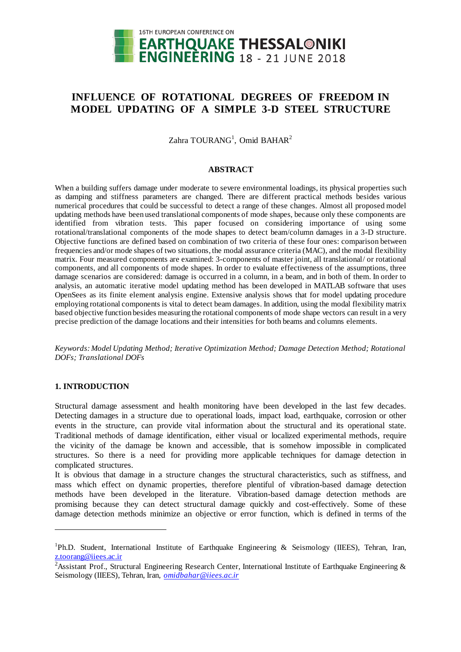

# **INFLUENCE OF ROTATIONAL DEGREES OF FREEDOM IN MODEL UPDATING OF A SIMPLE 3-D STEEL STRUCTURE**

Zahra TOURANG<sup>1</sup>, Omid BAHAR<sup>2</sup>

## **ABSTRACT**

When a building suffers damage under moderate to severe environmental loadings, its physical properties such as damping and stiffness parameters are changed. There are different practical methods besides various numerical procedures that could be successful to detect a range of these changes. Almost all proposed model updating methods have been used translational components of mode shapes, because only these components are identified from vibration tests. This paper focused on considering importance of using some rotational/translational components of the mode shapes to detect beam/column damages in a 3-D structure. Objective functions are defined based on combination of two criteria of these four ones: comparison between frequencies and/or mode shapes of two situations, the modal assurance criteria (MAC), and the modal flexibility matrix. Four measured components are examined: 3-components of master joint, all translational/ or rotational components, and all components of mode shapes. In order to evaluate effectiveness of the assumptions, three damage scenarios are considered: damage is occurred in a column, in a beam, and in both of them. In order to analysis, an automatic iterative model updating method has been developed in MATLAB software that uses OpenSees as its finite element analysis engine. Extensive analysis shows that for model updating procedure employing rotational components is vital to detect beam damages. In addition, using the modal flexibility matrix based objective function besides measuring the rotational components of mode shape vectors can result in a very precise prediction of the damage locations and their intensities for both beams and columns elements.

*Keywords: Model Updating Method; Iterative Optimization Method; Damage Detection Method; Rotational DOFs; Translational DOFs*

# **1. INTRODUCTION**

<u>.</u>

Structural damage assessment and health monitoring have been developed in the last few decades. Detecting damages in a structure due to operational loads, impact load, earthquake, corrosion or other events in the structure, can provide vital information about the structural and its operational state. Traditional methods of damage identification, either visual or localized experimental methods, require the vicinity of the damage be known and accessible, that is somehow impossible in complicated structures. So there is a need for providing more applicable techniques for damage detection in complicated structures.

It is obvious that damage in a structure changes the structural characteristics, such as stiffness, and mass which effect on dynamic properties, therefore plentiful of vibration-based damage detection methods have been developed in the literature. Vibration-based damage detection methods are promising because they can detect structural damage quickly and cost-effectively. Some of these damage detection methods minimize an objective or error function, which is defined in terms of the

<sup>&</sup>lt;sup>1</sup>Ph.D. Student, International Institute of Earthquake Engineering & Seismology (IIEES), Tehran, Iran, z.toorang@iiees.ac.ir

<sup>&</sup>lt;sup>2</sup>Assistant Prof., Structural Engineering Research Center, International Institute of Earthquake Engineering & Seismology (IIEES), Tehran, Iran, *omidbahar@iiees.ac.ir*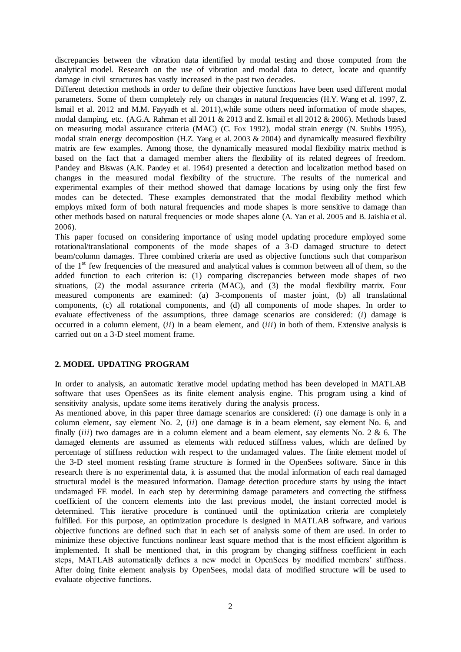discrepancies between the vibration data identified by modal testing and those computed from the analytical model. Research on the use of vibration and modal data to detect, locate and quantify damage in civil structures has vastly increased in the past two decades.

Different detection methods in order to define their objective functions have been used different modal parameters. Some of them completely rely on changes in natural frequencies (H.Y. Wang et al. 1997, Z. Ismail et al. 2012 and M.M. Fayyadh et al. 2011),while some others need information of mode shapes, modal damping, etc. (A.G.A. Rahman et all 2011 & 2013 and Z. Ismail et all 2012 & 2006). Methods based on measuring modal assurance criteria (MAC) (C. Fox 1992), modal strain energy (N. Stubbs 1995), modal strain energy decomposition (H.Z. Yang et al. 2003 & 2004) and dynamically measured flexibility matrix are few examples. Among those, the dynamically measured modal flexibility matrix method is based on the fact that a damaged member alters the flexibility of its related degrees of freedom. Pandey and Biswas (A.K. Pandey et al. 1964) presented a detection and localization method based on changes in the measured modal flexibility of the structure. The results of the numerical and experimental examples of their method showed that damage locations by using only the first few modes can be detected. These examples demonstrated that the modal flexibility method which employs mixed form of both natural frequencies and mode shapes is more sensitive to damage than other methods based on natural frequencies or mode shapes alone (A. Yan et al. 2005 and B. Jaishia et al. 2006).

This paper focused on considering importance of using model updating procedure employed some rotational/translational components of the mode shapes of a 3-D damaged structure to detect beam/column damages. Three combined criteria are used as objective functions such that comparison of the 1st few frequencies of the measured and analytical values is common between all of them, so the added function to each criterion is: (1) comparing discrepancies between mode shapes of two situations, (2) the modal assurance criteria (MAC), and (3) the modal flexibility matrix. Four measured components are examined: (a) 3-components of master joint, (b) all translational components, (c) all rotational components, and (d) all components of mode shapes. In order to evaluate effectiveness of the assumptions, three damage scenarios are considered: (*i*) damage is occurred in a column element, (*ii*) in a beam element, and (*iii*) in both of them. Extensive analysis is carried out on a 3-D steel moment frame.

# **2. MODEL UPDATING PROGRAM**

In order to analysis, an automatic iterative model updating method has been developed in MATLAB software that uses OpenSees as its finite element analysis engine. This program using a kind of sensitivity analysis, update some items iteratively during the analysis process.

As mentioned above, in this paper three damage scenarios are considered: (*i*) one damage is only in a column element, say element No. 2, (*ii*) one damage is in a beam element, say element No. 6, and finally *(iii)* two damages are in a column element and a beam element, say elements No. 2 & 6. The damaged elements are assumed as elements with reduced stiffness values, which are defined by percentage of stiffness reduction with respect to the undamaged values. The finite element model of the 3-D steel moment resisting frame structure is formed in the OpenSees software. Since in this research there is no experimental data, it is assumed that the modal information of each real damaged structural model is the measured information. Damage detection procedure starts by using the intact undamaged FE model. In each step by determining damage parameters and correcting the stiffness coefficient of the concern elements into the last previous model, the instant corrected model is determined. This iterative procedure is continued until the optimization criteria are completely fulfilled. For this purpose, an optimization procedure is designed in MATLAB software, and various objective functions are defined such that in each set of analysis some of them are used. In order to minimize these objective functions nonlinear least square method that is the most efficient algorithm is implemented. It shall be mentioned that, in this program by changing stiffness coefficient in each steps, MATLAB automatically defines a new model in OpenSees by modified members' stiffness. After doing finite element analysis by OpenSees, modal data of modified structure will be used to evaluate objective functions.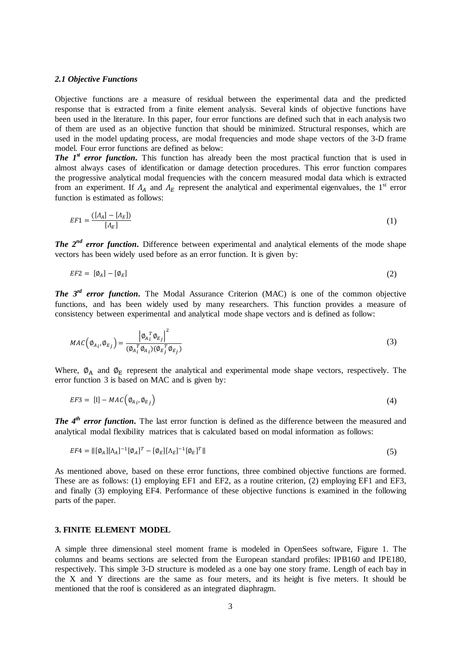#### *2.1 Objective Functions*

Objective functions are a measure of residual between the experimental data and the predicted response that is extracted from a finite element analysis. Several kinds of objective functions have been used in the literature. In this paper, four error functions are defined such that in each analysis two of them are used as an objective function that should be minimized. Structural responses, which are used in the model updating process, are modal frequencies and mode shape vectors of the 3-D frame model. Four error functions are defined as below:

*The 1<sup>st</sup>**error function*. This function has already been the most practical function that is used in almost always cases of identification or damage detection procedures. This error function compares the progressive analytical modal frequencies with the concern measured modal data which is extracted from an experiment. If  $\Lambda_A$  and  $\Lambda_E$  represent the analytical and experimental eigenvalues, the 1<sup>st</sup> error function is estimated as follows:

$$
EF1 = \frac{([A_A] - [A_E])}{[A_E]}
$$
 (1)

*The 2<sup>nd</sup> error function*. Difference between experimental and analytical elements of the mode shape vectors has been widely used before as an error function. It is given by:

$$
EF2 = [\phi_A] - [\phi_E] \tag{2}
$$

*The 3<sup>rd</sup> error function*. The Modal Assurance Criterion (MAC) is one of the common objective functions, and has been widely used by many researchers. This function provides a measure of consistency between experimental and analytical mode shape vectors and is defined as follow:

$$
MAC\left(\phi_{A_i}, \phi_{E_j}\right) = \frac{\left|\phi_A_i^T \phi_{E_j}\right|^2}{\left(\phi_A_i^T \phi_{A_i}\right)\left(\phi_E_i^T \phi_{E_j}\right)}
$$
(3)

Where,  $\phi_A$  and  $\phi_E$  represent the analytical and experimental mode shape vectors, respectively. The error function 3 is based on MAC and is given by:

$$
EF3 = [1] - MAC\left(\emptyset_{A_i}, \emptyset_{E_j}\right) \tag{4}
$$

*The 4<sup>th</sup>* error function. The last error function is defined as the difference between the measured and analytical modal flexibility matrices that is calculated based on modal information as follows:

$$
EF4 = ||[\phi_A][\Lambda_A]^{-1}[\phi_A]^T - [\phi_E][\Lambda_E]^{-1}[\phi_E]^T||
$$
\n(5)

As mentioned above, based on these error functions, three combined objective functions are formed. These are as follows: (1) employing EF1 and EF2, as a routine criterion, (2) employing EF1 and EF3, and finally (3) employing EF4. Performance of these objective functions is examined in the following parts of the paper.

# **3. FINITE ELEMENT MODEL**

A simple three dimensional steel moment frame is modeled in OpenSees software, Figure 1. The columns and beams sections are selected from the European standard profiles: IPB160 and IPE180, respectively. This simple 3-D structure is modeled as a one bay one story frame. Length of each bay in the X and Y directions are the same as four meters, and its height is five meters. It should be mentioned that the roof is considered as an integrated diaphragm.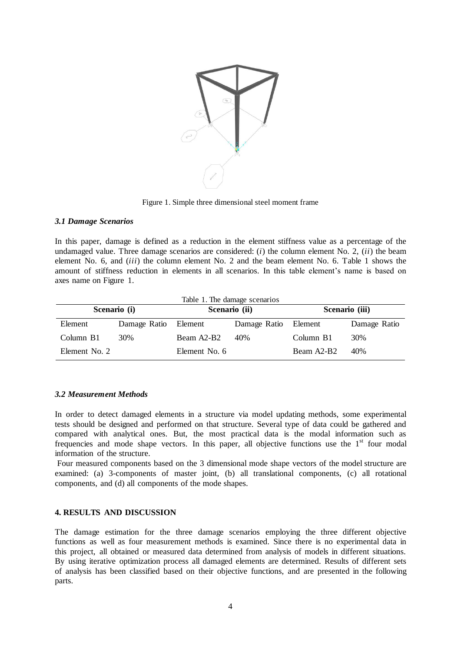

Figure 1. Simple three dimensional steel moment frame

### *3.1 Damage Scenarios*

In this paper, damage is defined as a reduction in the element stiffness value as a percentage of the undamaged value. Three damage scenarios are considered: (*i*) the column element No. 2, (*ii*) the beam element No. 6, and (*iii*) the column element No. 2 and the beam element No. 6. Table 1 shows the amount of stiffness reduction in elements in all scenarios. In this table element's name is based on axes name on Figure 1.

| Table 1. The damage scenarios |              |               |                      |                |              |
|-------------------------------|--------------|---------------|----------------------|----------------|--------------|
| Scenario (i)                  |              | Scenario (ii) |                      | Scenario (iii) |              |
| Element                       | Damage Ratio | Element       | Damage Ratio Element |                | Damage Ratio |
| Column B1                     | 30%          | Beam A2-B2    | 40%                  | Column B1      | 30%          |
| Element No. 2                 |              | Element No. 6 |                      | Beam A2-B2     | 40%          |

# *3.2 Measurement Methods*

In order to detect damaged elements in a structure via model updating methods, some experimental tests should be designed and performed on that structure. Several type of data could be gathered and compared with analytical ones. But, the most practical data is the modal information such as frequencies and mode shape vectors. In this paper, all objective functions use the  $1<sup>st</sup>$  four modal information of the structure.

Four measured components based on the 3 dimensional mode shape vectors of the model structure are examined: (a) 3-components of master joint, (b) all translational components, (c) all rotational components, and (d) all components of the mode shapes.

### **4. RESULTS AND DISCUSSION**

The damage estimation for the three damage scenarios employing the three different objective functions as well as four measurement methods is examined. Since there is no experimental data in this project, all obtained or measured data determined from analysis of models in different situations. By using iterative optimization process all damaged elements are determined. Results of different sets of analysis has been classified based on their objective functions, and are presented in the following parts.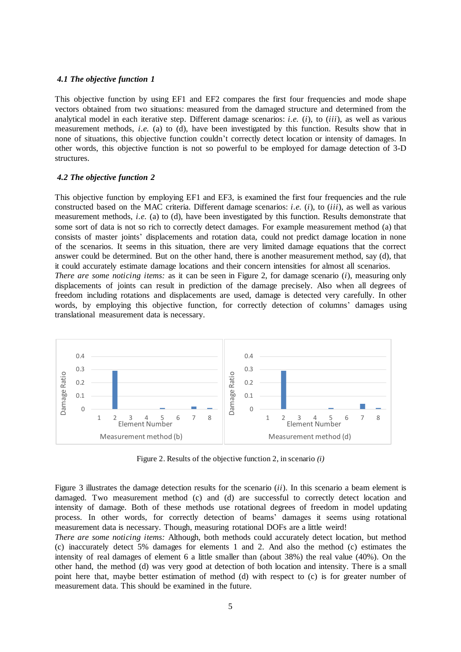#### *4.1 The objective function 1*

This objective function by using EF1 and EF2 compares the first four frequencies and mode shape vectors obtained from two situations: measured from the damaged structure and determined from the analytical model in each iterative step. Different damage scenarios: *i.e.* (*i*), to (*iii*), as well as various measurement methods, *i.e.* (a) to (d), have been investigated by this function. Results show that in none of situations, this objective function couldn't correctly detect location or intensity of damages. In other words, this objective function is not so powerful to be employed for damage detection of 3-D structures.

#### *4.2 The objective function 2*

translational measurement data is necessary.

This objective function by employing EF1 and EF3, is examined the first four frequencies and the rule constructed based on the MAC criteria. Different damage scenarios: *i.e.* (*i*), to (*iii*), as well as various measurement methods, *i.e.* (a) to (d), have been investigated by this function. Results demonstrate that some sort of data is not so rich to correctly detect damages. For example measurement method (a) that consists of master joints' displacements and rotation data, could not predict damage location in none of the scenarios. It seems in this situation, there are very limited damage equations that the correct answer could be determined. But on the other hand, there is another measurement method, say (d), that it could accurately estimate damage locations and their concern intensities for almost all scenarios. *There are some noticing items:* as it can be seen in Figure 2, for damage scenario (*i*), measuring only displacements of joints can result in prediction of the damage precisely. Also when all degrees of freedom including rotations and displacements are used, damage is detected very carefully. In other

words, by employing this objective function, for correctly detection of columns' damages using



Figure 2. Results of the objective function 2, in scenario *(i)*

Figure 3 illustrates the damage detection results for the scenario (*ii*). In this scenario a beam element is damaged. Two measurement method (c) and (d) are successful to correctly detect location and intensity of damage. Both of these methods use rotational degrees of freedom in model updating process. In other words, for correctly detection of beams' damages it seems using rotational measurement data is necessary. Though, measuring rotational DOFs are a little weird!

*There are some noticing items:* Although, both methods could accurately detect location, but method (c) inaccurately detect 5% damages for elements 1 and 2. And also the method (c) estimates the intensity of real damages of element 6 a little smaller than (about 38%) the real value (40%). On the other hand, the method (d) was very good at detection of both location and intensity. There is a small point here that, maybe better estimation of method (d) with respect to (c) is for greater number of measurement data. This should be examined in the future.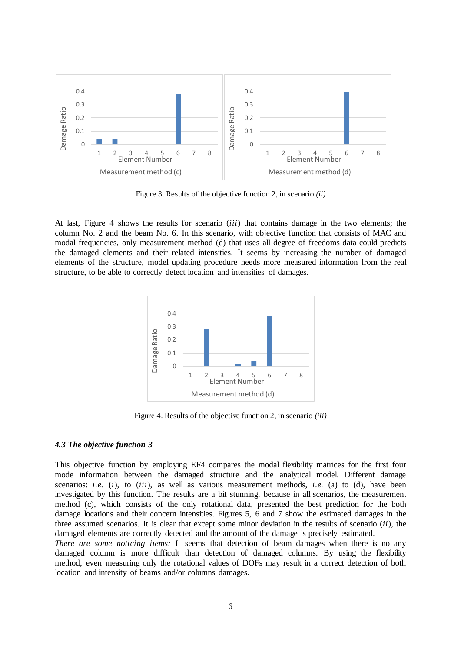

Figure 3. Results of the objective function 2, in scenario *(ii)*

At last, Figure 4 shows the results for scenario (*iii*) that contains damage in the two elements; the column No. 2 and the beam No. 6. In this scenario, with objective function that consists of MAC and modal frequencies, only measurement method (d) that uses all degree of freedoms data could predicts the damaged elements and their related intensities. It seems by increasing the number of damaged elements of the structure, model updating procedure needs more measured information from the real structure, to be able to correctly detect location and intensities of damages.



Figure 4. Results of the objective function 2, in scenario *(iii)*

### *4.3 The objective function 3*

This objective function by employing EF4 compares the modal flexibility matrices for the first four mode information between the damaged structure and the analytical model. Different damage scenarios: *i.e.* (*i*), to (*iii*), as well as various measurement methods, *i.e.* (a) to (d), have been investigated by this function. The results are a bit stunning, because in all scenarios, the measurement method (c), which consists of the only rotational data, presented the best prediction for the both damage locations and their concern intensities. Figures 5, 6 and 7 show the estimated damages in the three assumed scenarios. It is clear that except some minor deviation in the results of scenario (*ii*), the damaged elements are correctly detected and the amount of the damage is precisely estimated.

*There are some noticing items:* It seems that detection of beam damages when there is no any damaged column is more difficult than detection of damaged columns. By using the flexibility method, even measuring only the rotational values of DOFs may result in a correct detection of both location and intensity of beams and/or columns damages.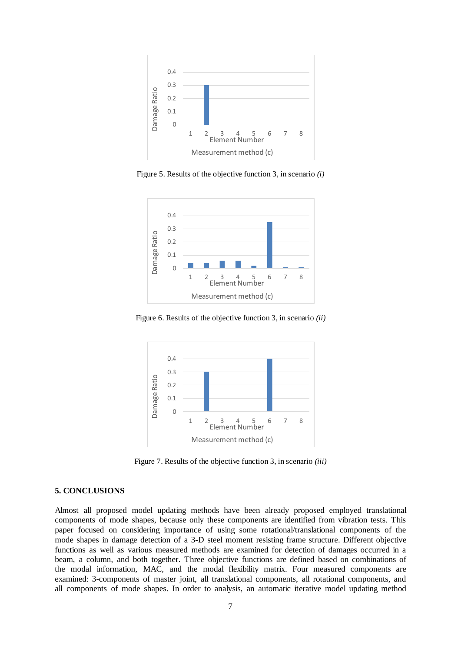

Figure 5. Results of the objective function 3, in scenario *(i)*



Figure 6. Results of the objective function 3, in scenario *(ii)*



Figure 7. Results of the objective function 3, in scenario *(iii)*

### **5. CONCLUSIONS**

Almost all proposed model updating methods have been already proposed employed translational components of mode shapes, because only these components are identified from vibration tests. This paper focused on considering importance of using some rotational/translational components of the mode shapes in damage detection of a 3-D steel moment resisting frame structure. Different objective functions as well as various measured methods are examined for detection of damages occurred in a beam, a column, and both together. Three objective functions are defined based on combinations of the modal information, MAC, and the modal flexibility matrix. Four measured components are examined: 3-components of master joint, all translational components, all rotational components, and all components of mode shapes. In order to analysis, an automatic iterative model updating method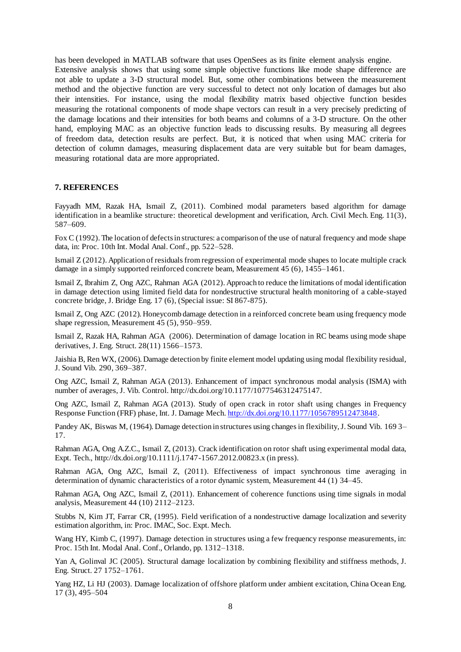has been developed in MATLAB software that uses OpenSees as its finite element analysis engine. Extensive analysis shows that using some simple objective functions like mode shape difference are not able to update a 3-D structural model. But, some other combinations between the measurement method and the objective function are very successful to detect not only location of damages but also their intensities. For instance, using the modal flexibility matrix based objective function besides measuring the rotational components of mode shape vectors can result in a very precisely predicting of the damage locations and their intensities for both beams and columns of a 3-D structure. On the other hand, employing MAC as an objective function leads to discussing results. By measuring all degrees of freedom data, detection results are perfect. But, it is noticed that when using MAC criteria for detection of column damages, measuring displacement data are very suitable but for beam damages, measuring rotational data are more appropriated.

#### **7. REFERENCES**

Fayyadh MM, Razak HA, Ismail Z, (2011). Combined modal parameters based algorithm for damage identification in a beamlike structure: theoretical development and verification, Arch. Civil Mech. Eng. 11(3), 587–609.

Fox C (1992). The location of defects in structures: a comparison of the use of natural frequency and mode shape data, in: Proc. 10th Int. Modal Anal. Conf., pp. 522–528.

Ismail Z (2012). Application of residuals from regression of experimental mode shapes to locate multiple crack damage in a simply supported reinforced concrete beam, Measurement 45 (6), 1455–1461.

Ismail Z, Ibrahim Z, Ong AZC, Rahman AGA (2012). Approach to reduce the limitations of modal identification in damage detection using limited field data for nondestructive structural health monitoring of a cable-stayed concrete bridge, J. Bridge Eng. 17 (6), (Special issue: SI 867-875).

Ismail Z, Ong AZC (2012). Honeycomb damage detection in a reinforced concrete beam using frequency mode shape regression, Measurement 45 (5), 950–959.

Ismail Z, Razak HA, Rahman AGA (2006). Determination of damage location in RC beams using mode shape derivatives, J. Eng. Struct. 28(11) 1566–1573.

Jaishia B, Ren WX, (2006). Damage detection by finite element model updating using modal flexibility residual, J. Sound Vib. 290, 369–387.

Ong AZC, Ismail Z, Rahman AGA (2013). Enhancement of impact synchronous modal analysis (ISMA) with number of averages, J. Vib. Control. http://dx.doi.org/10.1177/1077546312475147.

Ong AZC, Ismail Z, Rahman AGA (2013). Study of open crack in rotor shaft using changes in Frequency Response Function (FRF) phase, Int. J. Damage Mech[. http://dx.doi.org/10.1177/105678951247384](http://dx.doi.org/10.1177/1056789512473848)8.

Pandey AK, Biswas M, (1964). Damage detection in structures using changes in flexibility, J. Sound Vib. 169 3– 17.

Rahman AGA, Ong A.Z.C., Ismail Z, (2013). Crack identification on rotor shaft using experimental modal data, Expt. Tech., http://dx.doi.org/10.1111/j.1747-1567.2012.00823.x (in press).

Rahman AGA, Ong AZC, Ismail Z, (2011). Effectiveness of impact synchronous time averaging in determination of dynamic characteristics of a rotor dynamic system, Measurement 44 (1) 34–45.

Rahman AGA, Ong AZC, Ismail Z, (2011). Enhancement of coherence functions using time signals in modal analysis, Measurement 44 (10) 2112–2123.

Stubbs N, Kim JT, Farrar CR, (1995). Field verification of a nondestructive damage localization and severity estimation algorithm, in: Proc. IMAC, Soc. Expt. Mech.

Wang HY, Kimb C, (1997). Damage detection in structures using a few frequency response measurements, in: Proc. 15th Int. Modal Anal. Conf., Orlando, pp. 1312–1318.

Yan A, Golinval JC (2005). Structural damage localization by combining flexibility and stiffness methods, J. Eng. Struct. 27 1752–1761.

Yang HZ, Li HJ (2003). Damage localization of offshore platform under ambient excitation, China Ocean Eng. 17 (3), 495–504